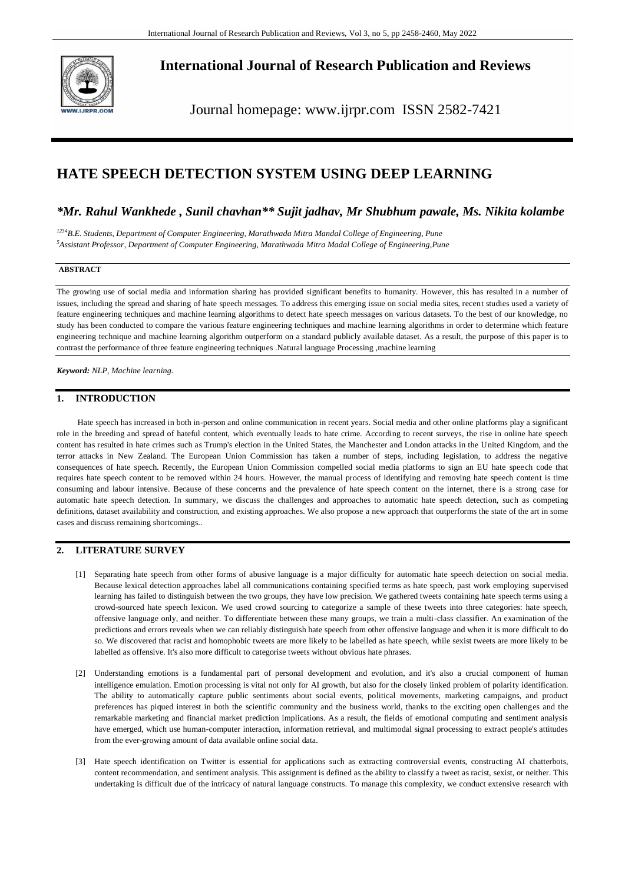

# **International Journal of Research Publication and Reviews**

Journal homepage: www.ijrpr.com ISSN 2582-7421

# **HATE SPEECH DETECTION SYSTEM USING DEEP LEARNING**

## *\*Mr. Rahul Wankhede , Sunil chavhan\*\* Sujit jadhav, Mr Shubhum pawale, Ms. Nikita kolambe*

*<sup>1234</sup>B.E. Students, Department of Computer Engineering, Marathwada Mitra Mandal College of Engineering, Pune <sup>5</sup>Assistant Professor, Department of Computer Engineering, Marathwada Mitra Madal College of Engineering,Pune* 

## **ABSTRACT**

The growing use of social media and information sharing has provided significant benefits to humanity. However, this has resulted in a number of issues, including the spread and sharing of hate speech messages. To address this emerging issue on social media sites, recent studies used a variety of feature engineering techniques and machine learning algorithms to detect hate speech messages on various datasets. To the best of our knowledge, no study has been conducted to compare the various feature engineering techniques and machine learning algorithms in order to determine which feature engineering technique and machine learning algorithm outperform on a standard publicly available dataset. As a result, the purpose of this paper is to contrast the performance of three feature engineering techniques .Natural language Processing ,machine learning

*Keyword: NLP, Machine learning.*

## **1. INTRODUCTION**

Hate speech has increased in both in-person and online communication in recent years. Social media and other online platforms play a significant role in the breeding and spread of hateful content, which eventually leads to hate crime. According to recent surveys, the rise in online hate speech content has resulted in hate crimes such as Trump's election in the United States, the Manchester and London attacks in the United Kingdom, and the terror attacks in New Zealand. The European Union Commission has taken a number of steps, including legislation, to address the negative consequences of hate speech. Recently, the European Union Commission compelled social media platforms to sign an EU hate spee ch code that requires hate speech content to be removed within 24 hours. However, the manual process of identifying and removing hate speech content is time consuming and labour intensive. Because of these concerns and the prevalence of hate speech content on the internet, ther e is a strong case for automatic hate speech detection. In summary, we discuss the challenges and approaches to automatic hate speech detection, such as competing definitions, dataset availability and construction, and existing approaches. We also propose a new approach that outperforms the state of the art in some cases and discuss remaining shortcomings..

## **2. LITERATURE SURVEY**

- [1] Separating hate speech from other forms of abusive language is a major difficulty for automatic hate speech detection on social media. Because lexical detection approaches label all communications containing specified terms as hate speech, past work employing supervised learning has failed to distinguish between the two groups, they have low precision. We gathered tweets containing hate speech terms using a crowd-sourced hate speech lexicon. We used crowd sourcing to categorize a sample of these tweets into three categories: hate speech, offensive language only, and neither. To differentiate between these many groups, we train a multi-class classifier. An examination of the predictions and errors reveals when we can reliably distinguish hate speech from other offensive language and when it is more difficult to do so. We discovered that racist and homophobic tweets are more likely to be labelled as hate speech, while sexist tweets are more likely to be labelled as offensive. It's also more difficult to categorise tweets without obvious hate phrases.
- [2] Understanding emotions is a fundamental part of personal development and evolution, and it's also a crucial component of human intelligence emulation. Emotion processing is vital not only for AI growth, but also for the closely linked problem of polarity identification. The ability to automatically capture public sentiments about social events, political movements, marketing campaigns, and product preferences has piqued interest in both the scientific community and the business world, thanks to the exciting open challenges and the remarkable marketing and financial market prediction implications. As a result, the fields of emotional computing and sentiment analysis have emerged, which use human-computer interaction, information retrieval, and multimodal signal processing to extract people's attitudes from the ever-growing amount of data available online social data.
- [3] Hate speech identification on Twitter is essential for applications such as extracting controversial events, constructing AI chatterbots, content recommendation, and sentiment analysis. This assignment is defined as the ability to classify a tweet as racist, sexist, or neither. This undertaking is difficult due of the intricacy of natural language constructs. To manage this complexity, we conduct extensive research with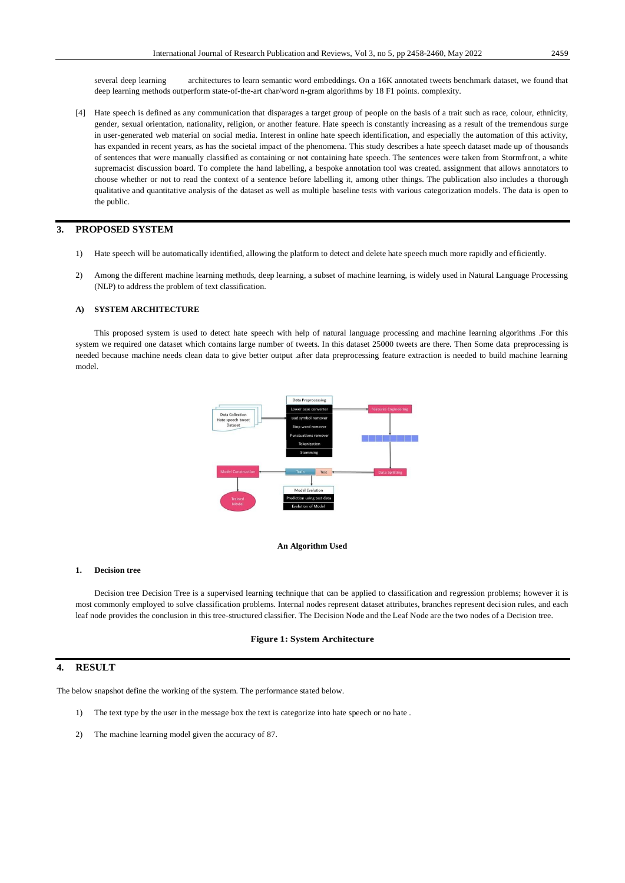several deep learning architectures to learn semantic word embeddings. On a 16K annotated tweets benchmark dataset, we found that deep learning methods outperform state-of-the-art char/word n-gram algorithms by 18 F1 points. complexity.

[4] Hate speech is defined as any communication that disparages a target group of people on the basis of a trait such as race, colour, ethnicity, gender, sexual orientation, nationality, religion, or another feature. Hate speech is constantly increasing as a result of the tremendous surge in user-generated web material on social media. Interest in online hate speech identification, and especially the automation of this activity, has expanded in recent years, as has the societal impact of the phenomena. This study describes a hate speech dataset made up of thousands of sentences that were manually classified as containing or not containing hate speech. The sentences were taken from Stormfront, a white supremacist discussion board. To complete the hand labelling, a bespoke annotation tool was created. assignment that allows annotators to choose whether or not to read the context of a sentence before labelling it, among other things. The publication also includes a thorough qualitative and quantitative analysis of the dataset as well as multiple baseline tests with various categorization models. The data is open to the public.

## **3. PROPOSED SYSTEM**

- 1) Hate speech will be automatically identified, allowing the platform to detect and delete hate speech much more rapidly and efficiently.
- 2) Among the different machine learning methods, deep learning, a subset of machine learning, is widely used in Natural Language Processing (NLP) to address the problem of text classification.

#### **A) SYSTEM ARCHITECTURE**

This proposed system is used to detect hate speech with help of natural language processing and machine learning algorithms .For this system we required one dataset which contains large number of tweets. In this dataset 25000 tweets are there. Then Some data preprocessing is needed because machine needs clean data to give better output .after data preprocessing feature extraction is needed to build machine learning model.



#### **An Algorithm Used**

#### **1. Decision tree**

Decision tree Decision Tree is a supervised learning technique that can be applied to classification and regression problems; however it is most commonly employed to solve classification problems. Internal nodes represent dataset attributes, branches represent decision rules, and each leaf node provides the conclusion in this tree-structured classifier. The Decision Node and the Leaf Node are the two nodes of a Decision tree.

#### **Figure 1: System Architecture**

### **4. RESULT**

The below snapshot define the working of the system. The performance stated below.

- 1) The text type by the user in the message box the text is categorize into hate speech or no hate .
- 2) The machine learning model given the accuracy of 87.